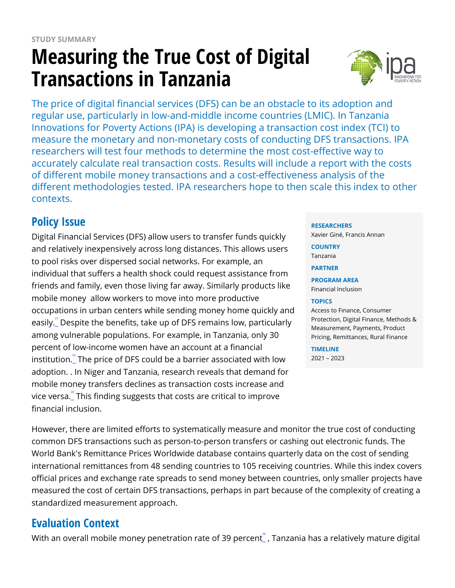# **Measuring the True Cost of Digital Transactions in Tanzania**



The price of digital financial services (DFS) can be an obstacle to its adoption and regular use, particularly in low-and-middle income countries (LMIC). In Tanzania Innovations for Poverty Actions (IPA) is developing a transaction cost index (TCI) to measure the monetary and non-monetary costs of conducting DFS transactions. IPA researchers will test four methods to determine the most cost-effective way to accurately calculate real transaction costs. Results will include a report with the costs of different mobile money transactions and a cost-effectiveness analysis of the different methodologies tested. IPA researchers hope to then scale this index to other contexts.

# **Policy Issue**

Digital Financial Services (DFS) allow users to transfer funds quickly and relatively inexpensively across long distances. This allows users to pool risks over dispersed social networks. For example, an individual that suffers a health shock could request assistance from friends and family, even those living far away. Similarly products like mobile money allow workers to move into more productive occupations in urban centers while sending money home quickly and easily.<u><sup>"</sup></u> Despite the benefits, take up of DFS remains low, particularly among vulnerable populations. For example, in Tanzania, only 30 percent of low-income women have an account at a financial institution. The price of DFS could be a barrier associated with low adoption. . In Niger and Tanzania, research reveals that demand for mobile money transfers declines as transaction costs increase and vice versa. $\mathring{\;}$  This finding suggests that costs are critical to improve financial inclusion.

#### **RESEARCHERS**

Xavier Giné, Francis Annan

**COUNTRY**

Tanzania

**PARTNER**

**PROGRAM AREA**

Financial Inclusion

#### **TOPICS**

Access to Finance, Consumer Protection, Digital Finance, Methods & Measurement, Payments, Product Pricing, Remittances, Rural Finance

**TIMELINE** 2021 – 2023

However, there are limited efforts to systematically measure and monitor the true cost of conducting common DFS transactions such as person-to-person transfers or cashing out electronic funds. The World Bank's Remittance Prices Worldwide database contains quarterly data on the cost of sending international remittances from 48 sending countries to 105 receiving countries. While this index covers official prices and exchange rate spreads to send money between countries, only smaller projects have measured the cost of certain DFS transactions, perhaps in part because of the complexity of creating a standardized measurement approach.

### **Evaluation Context**

With an overall mobile money penetration rate of 39 percent $\mathring{\;}$  , Tanzania has a relatively mature digital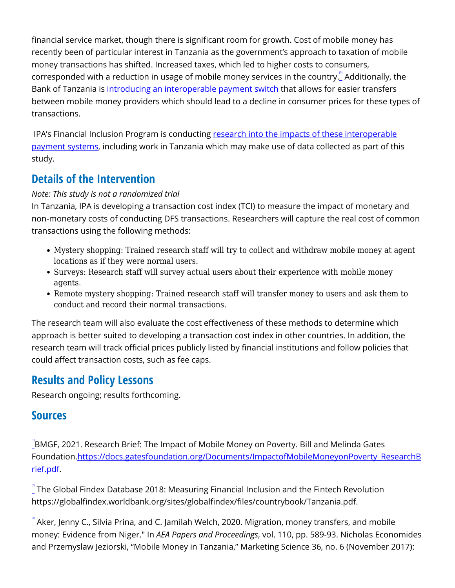financial service market, though there is significant room for growth. Cost of mobile money has recently been of particular interest in Tanzania as the government's approach to taxation of mobile money transactions has shifted. Increased taxes, which led to higher costs to consumers, corresponded with a reduction in usage of mobile money services in the country. Additionally, the Bank of Tanzania is *introducing an interoperable payment switch* that allows for easier transfers between mobile money providers which should lead to a decline in consumer prices for these types of transactions.

IPA's Financial Inclusion Program is conducting [research into the impacts of these interoperable](https://www.poverty-action.org/blog/serve-poor-better-financial-systems-need-talk-each-other-announcing-new-research-agenda) [payment systems](https://www.poverty-action.org/blog/serve-poor-better-financial-systems-need-talk-each-other-announcing-new-research-agenda), including work in Tanzania which may make use of data collected as part of this study.

## **Details of the Intervention**

#### *Note: This study is not a randomized trial*

In Tanzania, IPA is developing a transaction cost index (TCI) to measure the impact of monetary and non-monetary costs of conducting DFS transactions. Researchers will capture the real cost of common transactions using the following methods:

- Mystery shopping: Trained research staff will try to collect and withdraw mobile money at agent locations as if they were normal users.
- Surveys: Research staff will survey actual users about their experience with mobile money agents.
- Remote mystery shopping: Trained research staff will transfer money to users and ask them to conduct and record their normal transactions.

The research team will also evaluate the cost effectiveness of these methods to determine which approach is better suited to developing a transaction cost index in other countries. In addition, the research team will track official prices publicly listed by financial institutions and follow policies that could affect transaction costs, such as fee caps.

### **Results and Policy Lessons**

Research ongoing; results forthcoming.

#### **Sources**

 $\degree$ BMGF, 2021. Research Brief: The Impact of Mobile Money on Poverty. Bill and Melinda Gates Foundation[.https://docs.gatesfoundation.org/Documents/ImpactofMobileMoneyonPoverty\\_ResearchB](https://docs.gatesfoundation.org/Documents/ImpactofMobileMoneyonPoverty_ResearchBrief.pdf) [rief.pdf.](https://docs.gatesfoundation.org/Documents/ImpactofMobileMoneyonPoverty_ResearchBrief.pdf)

 $^{\text{\tiny{\textsf{P}}}}$  The Global Findex Database 2018: Measuring Financial Inclusion and the Fintech Revolution https://globalfindex.worldbank.org/sites/globalfindex/files/countrybook/Tanzania.pdf.

 $\degree$  Aker, Jenny C., Silvia Prina, and C. Jamilah Welch, 2020. Migration, money transfers, and mobile money: Evidence from Niger." In *AEA Papers and Proceedings*, vol. 110, pp. 589-93. Nicholas Economides and Przemyslaw Jeziorski, "Mobile Money in Tanzania," Marketing Science 36, no. 6 (November 2017):